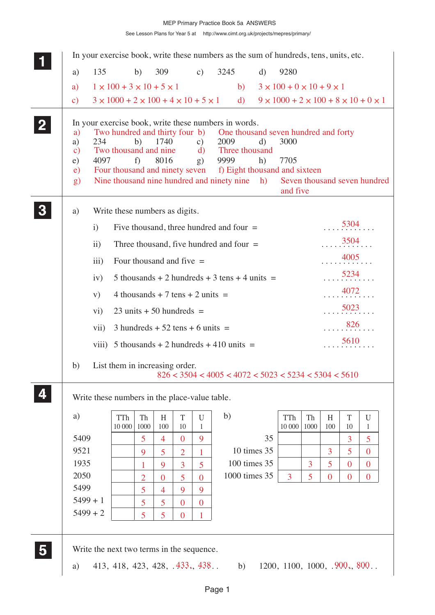|              |                                                     |                 |                                                                                           |                     |                                            |                                |                | In your exercise book, write these numbers as the sum of hundreds, tens, units, etc.                                                                                                                             |                                                              |                                                          |                |                |                |                   |
|--------------|-----------------------------------------------------|-----------------|-------------------------------------------------------------------------------------------|---------------------|--------------------------------------------|--------------------------------|----------------|------------------------------------------------------------------------------------------------------------------------------------------------------------------------------------------------------------------|--------------------------------------------------------------|----------------------------------------------------------|----------------|----------------|----------------|-------------------|
|              | a)                                                  | 135             |                                                                                           | b)                  | 309                                        |                                | c)             | 3245                                                                                                                                                                                                             | $\mathbf{d}$                                                 | 9280                                                     |                |                |                |                   |
|              | a)                                                  |                 | $1 \times 100 + 3 \times 10 + 5 \times 1$                                                 |                     |                                            |                                |                | b)                                                                                                                                                                                                               |                                                              | $3 \times 100 + 0 \times 10 + 9 \times 1$                |                |                |                |                   |
|              | $\mathbf{c})$                                       |                 | $3 \times 1000 + 2 \times 100 + 4 \times 10 + 5 \times 1$                                 |                     |                                            |                                |                |                                                                                                                                                                                                                  | d) $9 \times 1000 + 2 \times 100 + 8 \times 10 + 0 \times 1$ |                                                          |                |                |                |                   |
| $\mathbf{2}$ | a)<br>a)<br>$\mathbf{c})$<br>e)<br>$\epsilon$<br>g) | 234<br>4097     | Two hundred and thirty four b)<br>Two thousand and nine<br>Four thousand and ninety seven | b)<br>f)            | 1740<br>8016                               |                                | c)<br>d)<br>g) | In your exercise book, write these numbers in words.<br>One thousand seven hundred and forty<br>2009<br>Three thousand<br>9999<br>f) Eight thousand and sixteen<br>Nine thousand nine hundred and ninety nine h) | d)<br>h)                                                     | 3000<br>7705<br>Seven thousand seven hundred<br>and five |                |                |                |                   |
|              | a)                                                  |                 | Write these numbers as digits.                                                            |                     |                                            |                                |                |                                                                                                                                                                                                                  |                                                              |                                                          |                |                |                |                   |
|              |                                                     | $\mathbf{i}$    |                                                                                           |                     |                                            |                                |                | Five thousand, three hundred and four $=$                                                                                                                                                                        |                                                              |                                                          |                |                | 5304           |                   |
|              |                                                     | $\overline{ii}$ |                                                                                           |                     |                                            |                                |                | Three thousand, five hundred and four $=$                                                                                                                                                                        |                                                              |                                                          |                |                | 3504           |                   |
|              |                                                     | iii)            |                                                                                           |                     | Four thousand and five $=$                 |                                |                |                                                                                                                                                                                                                  |                                                              |                                                          |                |                | 4005           |                   |
|              |                                                     | iv)             |                                                                                           |                     |                                            |                                |                | 5 thousands + 2 hundreds + 3 tens + 4 units $=$                                                                                                                                                                  |                                                              |                                                          |                |                | 5234           |                   |
|              |                                                     | V)              |                                                                                           |                     | 4 thousands + 7 tens + 2 units $=$         |                                |                |                                                                                                                                                                                                                  |                                                              |                                                          |                |                | 4072           |                   |
|              |                                                     | $\rm vi)$       |                                                                                           |                     | $23 \text{ units} + 50 \text{ hundreds} =$ |                                |                |                                                                                                                                                                                                                  |                                                              |                                                          |                |                | 5023           |                   |
|              |                                                     | vii)            |                                                                                           |                     | $3$ hundreds + 52 tens + 6 units =         |                                |                |                                                                                                                                                                                                                  |                                                              |                                                          |                |                | 826            |                   |
|              |                                                     |                 |                                                                                           |                     |                                            |                                |                | viii) 5 thousands + 2 hundreds + 410 units =                                                                                                                                                                     |                                                              |                                                          |                |                | 5610           |                   |
|              |                                                     |                 |                                                                                           |                     |                                            |                                |                |                                                                                                                                                                                                                  |                                                              |                                                          |                |                |                |                   |
|              | b)                                                  |                 | List them in increasing order.                                                            |                     |                                            |                                |                | $826 < 3504 < 4005 < 4072 < 5023 < 5234 < 5304 < 5610$                                                                                                                                                           |                                                              |                                                          |                |                |                |                   |
|              |                                                     |                 | Write these numbers in the place-value table.                                             |                     |                                            |                                |                |                                                                                                                                                                                                                  |                                                              |                                                          |                |                |                |                   |
|              | a)                                                  |                 | TTh                                                                                       | Th                  | H                                          | T                              | U              | b)                                                                                                                                                                                                               |                                                              | TTh                                                      | Th             | H              | T              | U                 |
|              |                                                     |                 | 10 000                                                                                    | 1000                | 100                                        | 10                             | 1              |                                                                                                                                                                                                                  |                                                              | 10 000                                                   | 1000           | 100            | 10             | 1                 |
|              | 5409<br>9521                                        |                 |                                                                                           | $\overline{5}$<br>9 | $\overline{4}$<br>$\overline{5}$           | $\mathbf{0}$<br>$\overline{2}$ | 9<br>1         |                                                                                                                                                                                                                  | 35<br>10 times 35                                            |                                                          |                | $\overline{3}$ | 3<br>5         | 5<br>$\mathbf{0}$ |
|              | 1935                                                |                 |                                                                                           | 1                   | 9                                          | $\overline{3}$                 | 5              |                                                                                                                                                                                                                  | 100 times 35                                                 |                                                          | $\overline{3}$ | 5              | $\overline{0}$ | $\boldsymbol{0}$  |
|              | 2050                                                |                 |                                                                                           | $\overline{2}$      | $\mathbf{0}$                               | 5                              | $\overline{0}$ |                                                                                                                                                                                                                  | 1000 times 35                                                | 3                                                        | 5              | $\mathbf{0}$   | $\overline{0}$ | $\mathbf{0}$      |
|              | 5499                                                |                 |                                                                                           | 5                   | 4                                          | 9                              | 9              |                                                                                                                                                                                                                  |                                                              |                                                          |                |                |                |                   |
|              |                                                     |                 |                                                                                           |                     |                                            | $\bf{0}$                       | $\bf{0}$       |                                                                                                                                                                                                                  |                                                              |                                                          |                |                |                |                   |
|              | $5499 + 1$                                          |                 |                                                                                           | 5                   | $\overline{5}$                             |                                |                |                                                                                                                                                                                                                  |                                                              |                                                          |                |                |                |                   |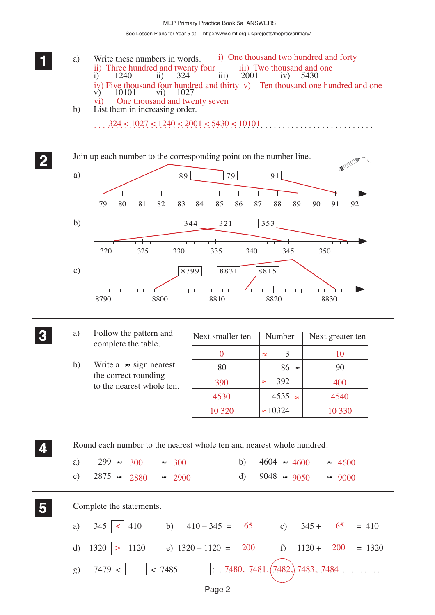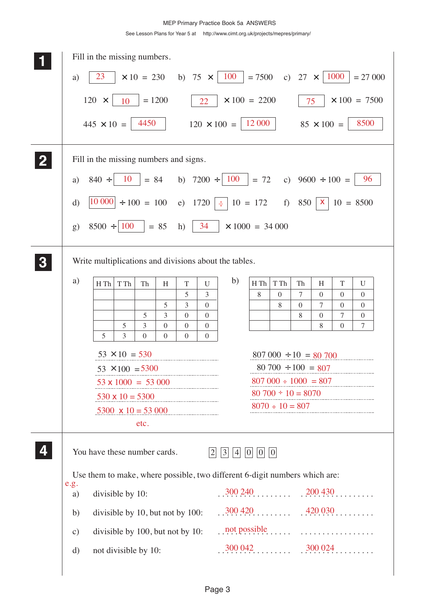|          |               | Fill in the missing numbers.           |                                                    |                   |                          |                            |                                  |                                                                            |                   |                                                          |                  |                      |                         |                            |  |
|----------|---------------|----------------------------------------|----------------------------------------------------|-------------------|--------------------------|----------------------------|----------------------------------|----------------------------------------------------------------------------|-------------------|----------------------------------------------------------|------------------|----------------------|-------------------------|----------------------------|--|
|          | a)            | 23                                     |                                                    | $\times 10 = 230$ |                          | b) 75 $\times$             |                                  | 100                                                                        | $= 7500$          |                                                          | c) $27 \times$   |                      | 1000                    | $= 27000$                  |  |
|          |               | $120 \times$                           | 10                                                 | $= 1200$          |                          |                            | 22                               | $\times$ 100 = 2200                                                        |                   |                                                          | 75               |                      |                         | $\times$ 100 = 7500        |  |
|          |               | $445 \times 10 =$                      |                                                    | 4450              |                          |                            |                                  | $120 \times 100 =$                                                         | 12 000            |                                                          |                  | $85 \times 100 =$    |                         | 8500                       |  |
| $\bf{2}$ |               | Fill in the missing numbers and signs. |                                                    |                   |                          |                            |                                  |                                                                            |                   |                                                          |                  |                      |                         |                            |  |
|          | a)            | $840 \div$                             | <b>10</b>                                          | $= 84$            |                          |                            |                                  | b) $7200 \div 100$                                                         | $= 72$            |                                                          |                  | c) $9600 \div 100 =$ |                         | 96                         |  |
|          | $\mathbf{d}$  |                                        |                                                    |                   |                          |                            |                                  | $ 10\ 000  \div 100 = 100$ e) $1720 \div 10 = 172$                         |                   |                                                          | f) 850   $x$     |                      |                         | $10 = 8500$                |  |
|          |               |                                        |                                                    |                   |                          |                            |                                  |                                                                            |                   |                                                          |                  |                      |                         |                            |  |
|          | g)            | $8500 \div 100$                        |                                                    |                   | $= 85$                   | h)                         | 34                               | $\times$ 1000 = 34 000                                                     |                   |                                                          |                  |                      |                         |                            |  |
|          |               |                                        |                                                    |                   |                          |                            |                                  | Write multiplications and divisions about the tables.                      |                   |                                                          |                  |                      |                         |                            |  |
|          |               |                                        |                                                    |                   |                          |                            |                                  |                                                                            |                   |                                                          |                  |                      |                         |                            |  |
|          | a)            | H Th                                   | T Th                                               | Th                | H                        | $\mathbf T$<br>5           | $\mathbf{U}$<br>3                | b)                                                                         | H Th<br>8         | T Th<br>$\mathbf{0}$                                     | Th<br>7          | H<br>$\Omega$        | $\mathbf T$<br>$\Omega$ | U<br>$\mathbf{0}$          |  |
|          |               |                                        |                                                    |                   | 5                        | 3                          | $\boldsymbol{0}$                 |                                                                            |                   | 8                                                        | $\boldsymbol{0}$ | 7                    | $\overline{0}$          | $\mathbf{0}$               |  |
|          |               |                                        |                                                    | 5                 | 3                        | $\mathbf{0}$               | $\mathbf{0}$                     |                                                                            |                   |                                                          | 8                | $\mathbf{0}$         | 7                       | $\overline{0}$             |  |
|          |               | 5                                      | 5<br>3                                             | 3<br>$\Omega$     | $\mathbf{0}$<br>$\Omega$ | $\overline{0}$<br>$\Omega$ | $\boldsymbol{0}$<br>$\mathbf{0}$ |                                                                            |                   |                                                          |                  | 8                    | $\mathbf{0}$            | 7                          |  |
|          |               |                                        |                                                    |                   |                          |                            |                                  |                                                                            |                   |                                                          |                  |                      |                         |                            |  |
|          |               |                                        | $53 \times 10 = 530$                               |                   |                          |                            |                                  |                                                                            |                   | $807\,000 \div 10 = 80\,700$<br>$80\ 700 \div 100 = 807$ |                  |                      |                         |                            |  |
|          |               |                                        | $53 \times 100 = 5300$<br>$53 \times 1000 = 53000$ |                   |                          |                            |                                  |                                                                            |                   |                                                          |                  |                      |                         | $807\,000 \div 1000 = 807$ |  |
|          |               |                                        |                                                    |                   |                          |                            |                                  |                                                                            |                   |                                                          |                  |                      |                         | $80\ 700 \div 10 = 8070$   |  |
|          |               |                                        |                                                    |                   |                          | 530 x 10 = 5300            |                                  |                                                                            |                   | $8070 \div 10 = 807$                                     |                  |                      |                         |                            |  |
|          |               |                                        |                                                    | etc.              |                          | 5300 $\times$ 10 = 53 000  |                                  |                                                                            |                   |                                                          |                  |                      |                         |                            |  |
|          |               |                                        |                                                    |                   |                          |                            |                                  |                                                                            |                   |                                                          |                  |                      |                         |                            |  |
|          |               | You have these number cards.           |                                                    |                   |                          |                            | 2                                | $\vert 3 \vert$                                                            | $ 4 $ $ 0 $ $ 0 $ | 0                                                        |                  |                      |                         |                            |  |
|          |               |                                        |                                                    |                   |                          |                            |                                  | Use them to make, where possible, two different 6-digit numbers which are: |                   |                                                          |                  |                      |                         |                            |  |
|          | e.g.<br>a)    | divisible by 10:                       |                                                    |                   |                          |                            |                                  | $.300\,240\ldots$ $.200\,430\ldots$                                        |                   |                                                          |                  |                      |                         |                            |  |
|          | b)            | divisible by 10, but not by 100:       |                                                    |                   |                          |                            |                                  |                                                                            |                   |                                                          |                  |                      |                         |                            |  |
|          | $\mathbf{c})$ | divisible by 100, but not by 10:       |                                                    |                   |                          |                            |                                  | $\ldots$ not possible $\ldots$ $\ldots$ $\ldots$ $\ldots$                  |                   |                                                          |                  |                      |                         |                            |  |
|          | d)            | not divisible by 10:                   |                                                    |                   |                          |                            |                                  |                                                                            |                   |                                                          |                  |                      |                         |                            |  |
|          |               |                                        |                                                    |                   |                          |                            |                                  |                                                                            |                   |                                                          |                  |                      |                         |                            |  |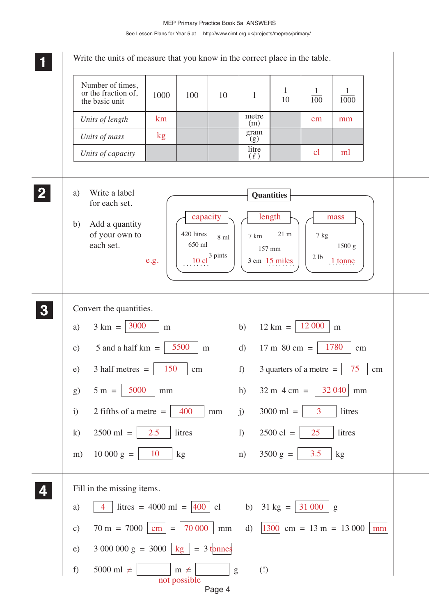Page 4 **1 11 11 4 44 44 3 33 33** Write the units of measure that you know in the correct place in the table. a) Write a label for each set. b) Add a quantity of your own to each set. Convert the quantities. a)  $3 \text{ km} = |3000 \text{ m} \text{ m}$  b)  $12 \text{ km} = |12000 \text{ m} \text{ m}$ c) 5 and a half km =  $\frac{5500}{\text{m}}$  m d) 17 m 80 cm =  $\frac{1780}{\text{cm}}$  cm e) 3 half metres =  $\begin{vmatrix} 150 \\ -150 \end{vmatrix}$  cm f) 3 quarters of a metre =  $\begin{vmatrix} 75 \\ -75 \end{vmatrix}$  cm g)  $5 \text{ m} = | 5000 | \text{ mm}$  h)  $32 \text{ m} 4 \text{ cm} = | 32040 | \text{ mm}$ i) 2 fifths of a metre =  $\begin{vmatrix} 400 \\ 100 \end{vmatrix}$  mm i) 3000 ml =  $\begin{vmatrix} 3 \\ 3 \\ 11 \end{vmatrix}$  litres k)  $2500 \text{ ml} = | 2.5 | \text{litres}$  l)  $2500 \text{ cl} = | 25 | \text{litres}$ m)  $10\ 000\ g = \begin{vmatrix} 10 \\ kg \end{vmatrix}$  kg n)  $3500\ g = \begin{vmatrix} 3.5 \\ kg \end{vmatrix}$  kg Fill in the missing items. a)  $\begin{array}{|c|c|c|c|c|} \hline 4 & \text{litres} = 4000 \text{ ml} = |400 | \text{ cl} & \text{b}) & 31 \text{ kg} = |31 000 | \text{ g} \hline \end{array}$ c)  $70 \text{ m} = 7000 \text{ cm} = 70000 \text{ cm} = 70000 \text{ mm}$ e) 3 000 000 g = 3000 | kg | = 3 tonnes f)  $5000 \text{ ml } \neq$   $\mid \text{ m } \neq$   $\mid \text{ g }$  (!) Number of times, or the fraction of, the basic unit *Units of length Units of mass Units of capacity*  $1000$  100 10 1 metre (m) gram  $(g)$ litre  $\binom{1}{\ell}$ 1  $\overline{10}$ 1 1000 1  $\overline{100}$ **2 22 22 Quantities** 420 litres  $\left[10 \text{ cl}^3 \text{ pints} \right] \left[3 \text{ cm} \right] \text{ 3 cm}$  15 miles  $\left[2 \text{ lb} \right] \left[21 \text{ cm} \right]$  1 tonne 8 ml 650 ml 7 km 21 m 157 mm e.g.  $\begin{array}{|c|c|c|c|c|c|} \hline \end{array}$  10 cl<sup>-3 pms</sup>  $\begin{array}{|c|c|c|c|c|c|} \hline \end{array}$  3 cm 15 miles  $\begin{array}{|c|c|c|c|c|c|c|c|} \hline \end{array}$  1 tonne 7 kg 1500 g km cm mm kg cl ml capacity  $\vert \cdot \vert$  length  $\vert \cdot \vert$  mass 17 m 80 cm =  $\vert$  $3000$  ml =  $2500 \text{ cl } =$ 3500 g =  $|$  $|1300|$  cm = 13 m = 13 000  $|mm|$ not possible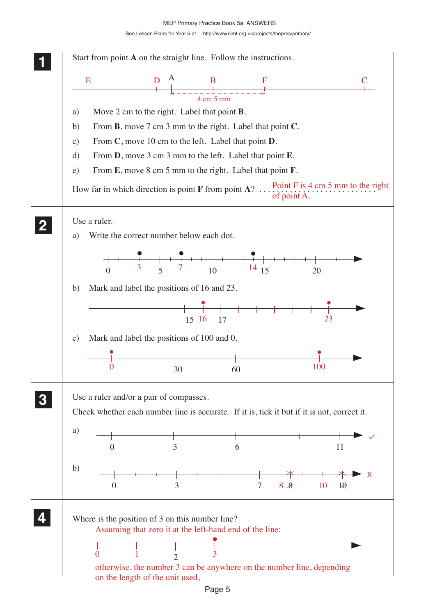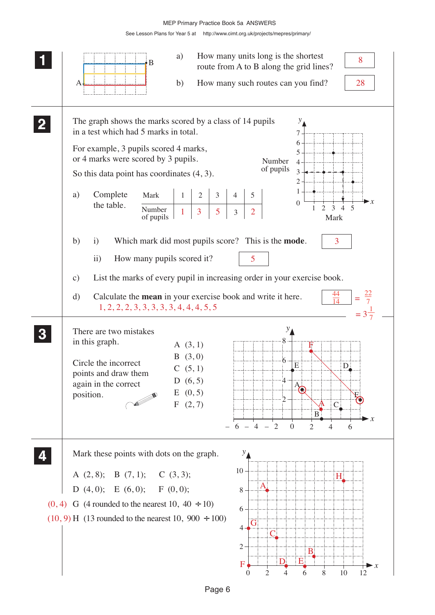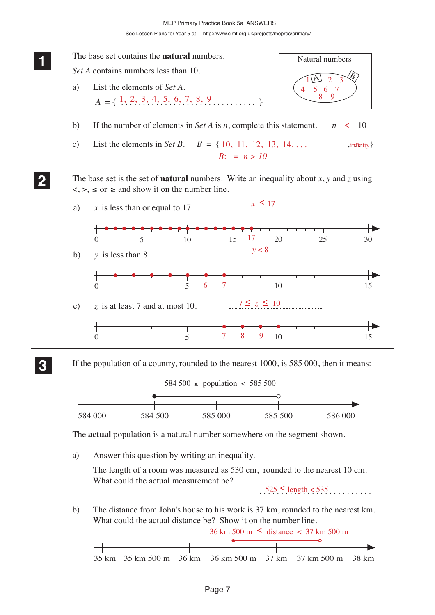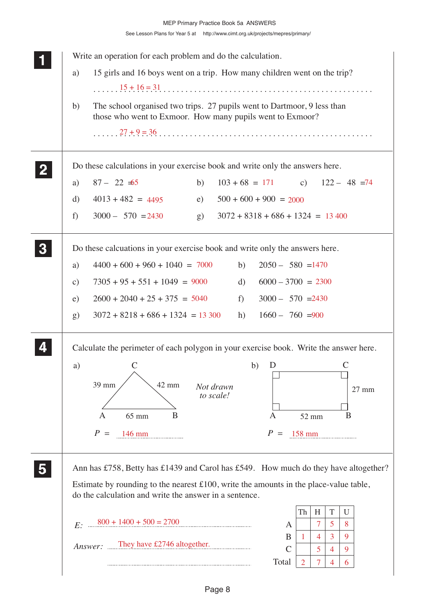| Write an operation for each problem and do the calculation.                                                                                                                                                                               |
|-------------------------------------------------------------------------------------------------------------------------------------------------------------------------------------------------------------------------------------------|
| 15 girls and 16 boys went on a trip. How many children went on the trip?<br>a)                                                                                                                                                            |
| $15 + 16 = 31$<br>The school organised two trips. 27 pupils went to Dartmoor, 9 less than<br>b)<br>those who went to Exmoor. How many pupils went to Exmoor?                                                                              |
|                                                                                                                                                                                                                                           |
| Do these calculations in your exercise book and write only the answers here.                                                                                                                                                              |
| $87 - 22 = 65$<br>b)<br>$103 + 68 = 171$ c) $122 - 48 = 74$<br>a)                                                                                                                                                                         |
| $4013 + 482 = 4495$<br>$500 + 600 + 900 = 2000$<br>e)<br>d)                                                                                                                                                                               |
| $3000 - 570 = 2430$<br>$3072 + 8318 + 686 + 1324 = 13400$<br>f)<br>(g)                                                                                                                                                                    |
| Do these calcuations in your exercise book and write only the answers here.                                                                                                                                                               |
| $4400 + 600 + 960 + 1040 = 7000$<br>$2050 - 580 = 1470$<br>b)<br>a)                                                                                                                                                                       |
| $7305 + 95 + 551 + 1049 = 9000$<br>$6000 - 3700 = 2300$<br>d)<br>$\mathbf{c})$                                                                                                                                                            |
| $2600 + 2040 + 25 + 375 = 5040$<br>f<br>$3000 - 570 = 2430$<br>e)                                                                                                                                                                         |
| $3072 + 8218 + 686 + 1324 = 13300$<br>$1660 - 760 = 900$<br>h)<br>$\mathrm{g}$ )                                                                                                                                                          |
| Calculate the perimeter of each polygon in your exercise book. Write the answer here.                                                                                                                                                     |
| $\mathsf{C}$<br>b)<br>D<br>a)<br>C<br>39 mm<br>42 mm<br>Not drawn<br>27 mm<br>to scale!                                                                                                                                                   |
| B<br>65 mm<br>B<br>A<br>A<br>52 mm                                                                                                                                                                                                        |
| $P =$<br>P<br>146 mm<br>158 mm<br>$=$                                                                                                                                                                                                     |
| Ann has £758, Betty has £1439 and Carol has £549. How much do they have altogether?<br>Estimate by rounding to the nearest $£100$ , write the amounts in the place-value table,<br>do the calculation and write the answer in a sentence. |
| T<br>Th<br>H<br>U<br>$800 + 1400 + 500 = 2700$<br>7<br>5<br>8                                                                                                                                                                             |
| E:<br>A<br>3<br>B<br>9<br>4<br>1<br>They have £2746 altogether.<br>Answer:<br>$\mathsf{C}$<br>5<br>9<br>4                                                                                                                                 |
| Total<br>$\overline{2}$<br>7<br>6<br>4                                                                                                                                                                                                    |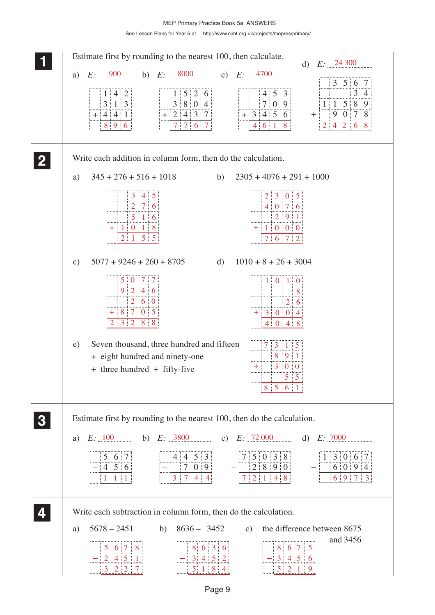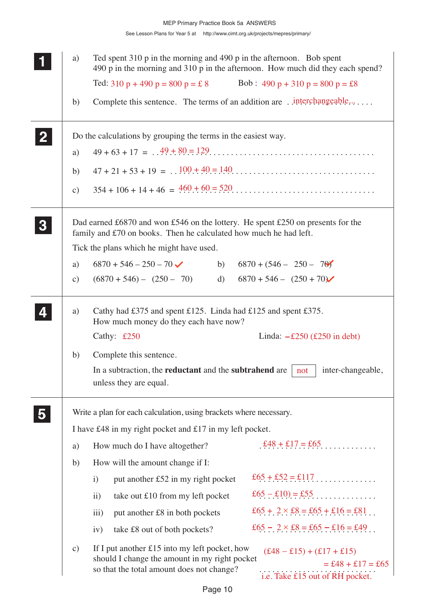|              | a)                  | Ted spent 310 p in the morning and 490 p in the afternoon. Bob spent<br>490 p in the morning and 310 p in the afternoon. How much did they each spend?                                                                                     |
|--------------|---------------------|--------------------------------------------------------------------------------------------------------------------------------------------------------------------------------------------------------------------------------------------|
|              |                     | Ted: 310 p + 490 p = 800 p = £ 8 Bob: 490 p + 310 p = 800 p = £8                                                                                                                                                                           |
|              | b)                  | Complete this sentence. The terms of an addition are . interchangeable                                                                                                                                                                     |
| $\mathbf{2}$ |                     | Do the calculations by grouping the terms in the easiest way.                                                                                                                                                                              |
|              | a)                  |                                                                                                                                                                                                                                            |
|              | b)                  |                                                                                                                                                                                                                                            |
|              | $\mathbf{c})$       |                                                                                                                                                                                                                                            |
| 3            |                     | Dad earned £6870 and won £546 on the lottery. He spent £250 on presents for the<br>family and £70 on books. Then he calculated how much he had left.<br>Tick the plans which he might have used.                                           |
|              |                     | $6870 + 546 - 250 - 70$<br>$6870 + (546 - 250 - 70)$<br>b)                                                                                                                                                                                 |
|              | a)<br>$\mathbf{c})$ | $6870 + 546 - (250 + 70)$<br>$(6870 + 546) - (250 - 70)$<br>d)                                                                                                                                                                             |
|              |                     |                                                                                                                                                                                                                                            |
|              | a)                  | Cathy had £375 and spent £125. Linda had £125 and spent £375.<br>How much money do they each have now?                                                                                                                                     |
|              |                     | Cathy: £250<br>Linda: $-\pounds 250$ (£250 in debt)                                                                                                                                                                                        |
|              | b)                  | Complete this sentence.                                                                                                                                                                                                                    |
|              |                     | In a subtraction, the <b>reductant</b> and the <b>subtrahend</b> are<br>inter-changeable,<br>not<br>unless they are equal.                                                                                                                 |
|              |                     | Write a plan for each calculation, using brackets where necessary.                                                                                                                                                                         |
|              |                     | I have £48 in my right pocket and £17 in my left pocket.                                                                                                                                                                                   |
|              | a)                  | £48 + £17 = £65<br>How much do I have altogether?                                                                                                                                                                                          |
|              | b)                  | How will the amount change if I:                                                                                                                                                                                                           |
|              |                     | £65 + £52 = £117<br>put another £52 in my right pocket<br>$\mathbf{i}$                                                                                                                                                                     |
|              |                     | take out £10 from my left pocket<br>$\overline{11}$                                                                                                                                                                                        |
|              |                     | £65 + 2 $\times$ £8 = £65 + £16 = £81<br>put another £8 in both pockets<br>iii)                                                                                                                                                            |
|              |                     | £65 - 2 $\times$ £8 = £65 - £16 = £49<br>take £8 out of both pockets?<br>iv)                                                                                                                                                               |
|              | $\mathcal{C}$ )     | If I put another $£15$ into my left pocket, how<br>$(f.48 - f.15) + (f.17 + f.15)$<br>should I change the amount in my right pocket<br>$= £48 + £17 = £65$<br>so that the total amount does not change?<br>i.e. Take £15 out of RH pocket. |
|              |                     |                                                                                                                                                                                                                                            |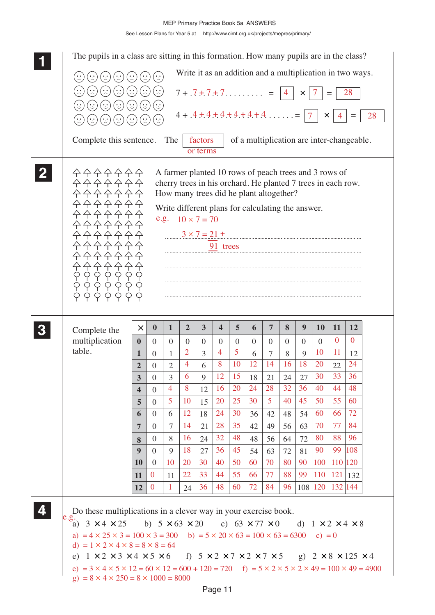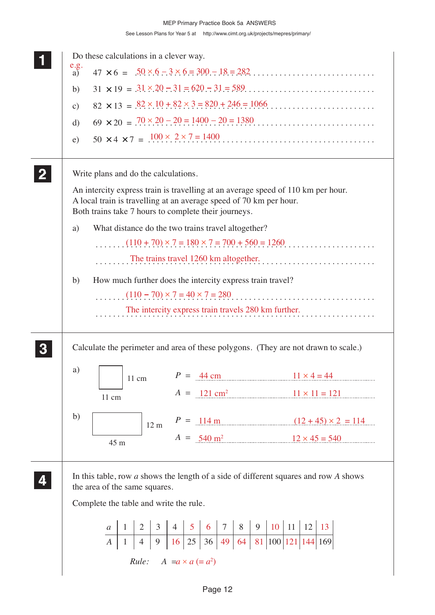| Do these calculations in a clever way.                                                                                                                                                                         |                                                           |                                                                                          |
|----------------------------------------------------------------------------------------------------------------------------------------------------------------------------------------------------------------|-----------------------------------------------------------|------------------------------------------------------------------------------------------|
| $\frac{e.g.}{a)}$                                                                                                                                                                                              |                                                           |                                                                                          |
| b)                                                                                                                                                                                                             |                                                           |                                                                                          |
| $\mathcal{C}$ )                                                                                                                                                                                                |                                                           | $82 \times 13 = 82 \times 10 + 82 \times 3 = 820 + 246 = 1066$                           |
| $\mathbf{d}$                                                                                                                                                                                                   |                                                           | $69 \times 20 = .70 \times 20 - 20 = 1400 - 20 = 1380$                                   |
| e)                                                                                                                                                                                                             |                                                           | $50 \times 4 \times 7 = .100 \times .2 \times .7 = 1400$                                 |
| Write plans and do the calculations.                                                                                                                                                                           |                                                           |                                                                                          |
| An intercity express train is travelling at an average speed of 110 km per hour.<br>A local train is travelling at an average speed of 70 km per hour.<br>Both trains take 7 hours to complete their journeys. |                                                           |                                                                                          |
| a)                                                                                                                                                                                                             | What distance do the two trains travel altogether?        |                                                                                          |
|                                                                                                                                                                                                                |                                                           | $(110 + 70) \times 7 = 180 \times 7 = 700 + 560 = 1260$                                  |
|                                                                                                                                                                                                                |                                                           | The trains travel 1260 km altogether.                                                    |
| b)                                                                                                                                                                                                             | How much further does the intercity express train travel? |                                                                                          |
|                                                                                                                                                                                                                |                                                           | $(110 - 70) \times 7 = 40 \times 7 = 280$                                                |
|                                                                                                                                                                                                                | The intercity express train travels 280 km further.       | .                                                                                        |
|                                                                                                                                                                                                                |                                                           |                                                                                          |
|                                                                                                                                                                                                                |                                                           | Calculate the perimeter and area of these polygons. (They are not drawn to scale.)       |
| a)<br>$11 \text{ cm}$                                                                                                                                                                                          | $P = 44 \text{ cm}$                                       | $11 \times 4 = 44$                                                                       |
| 11 cm                                                                                                                                                                                                          |                                                           | $A = 121 \text{ cm}^2$ $11 \times 11 = 121$                                              |
| b)<br>$12 \text{ m}$                                                                                                                                                                                           |                                                           | $P = 114 \text{ m}$ $(12 + 45) \times 2 = 114$                                           |
| 45 m                                                                                                                                                                                                           |                                                           | $A = 540 \text{ m}^2$ $12 \times 45 = 540$                                               |
|                                                                                                                                                                                                                |                                                           | In this table, row $a$ shows the length of a side of different squares and row $A$ shows |
| the area of the same squares.                                                                                                                                                                                  |                                                           |                                                                                          |
| Complete the table and write the rule.                                                                                                                                                                         |                                                           |                                                                                          |
|                                                                                                                                                                                                                |                                                           |                                                                                          |
|                                                                                                                                                                                                                |                                                           |                                                                                          |
|                                                                                                                                                                                                                | <i>Rule:</i> $A = a \times a (= a^2)$                     |                                                                                          |
|                                                                                                                                                                                                                |                                                           |                                                                                          |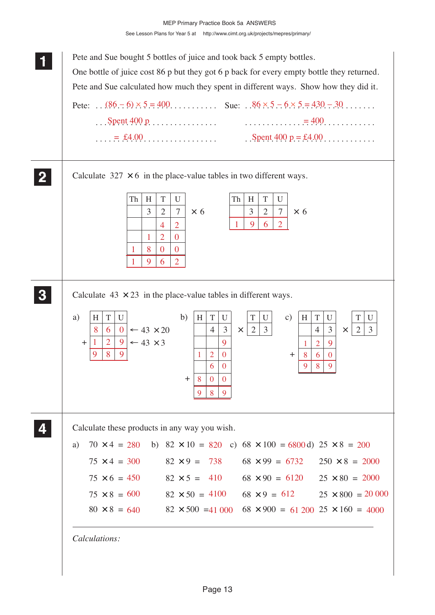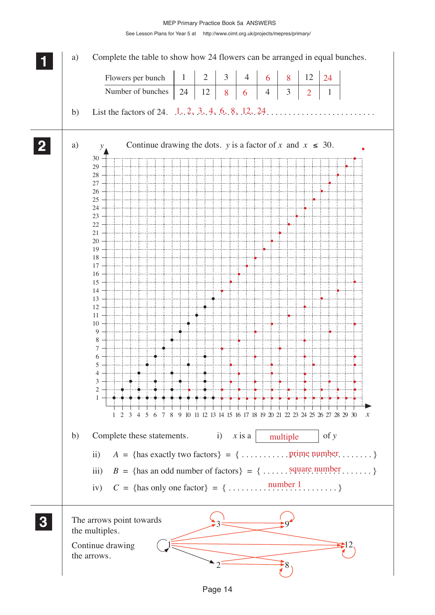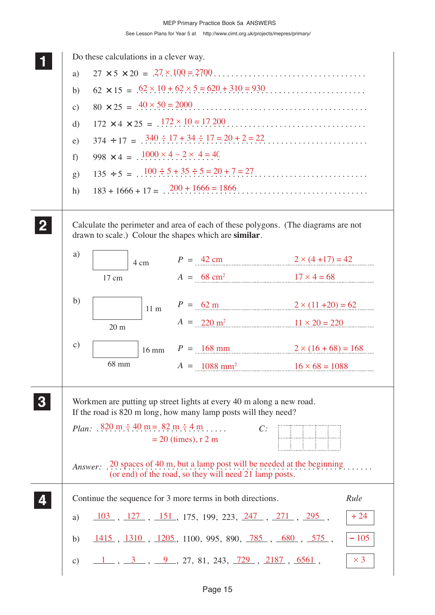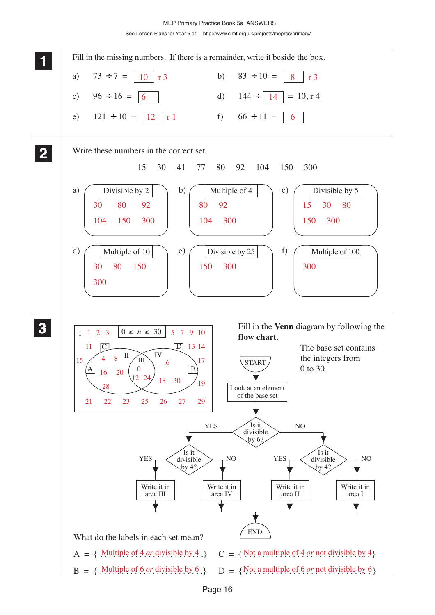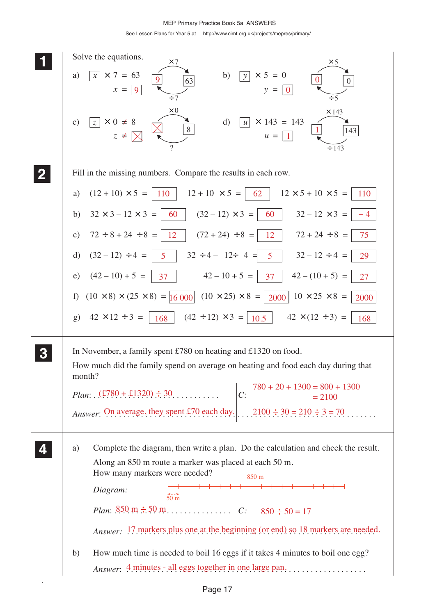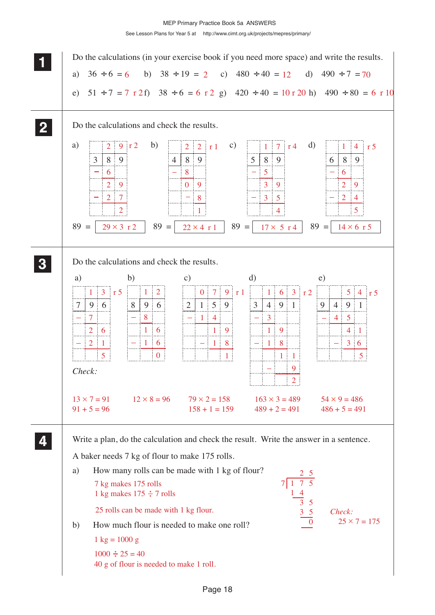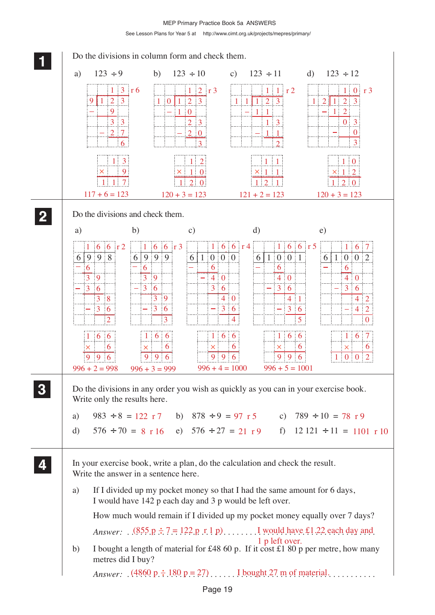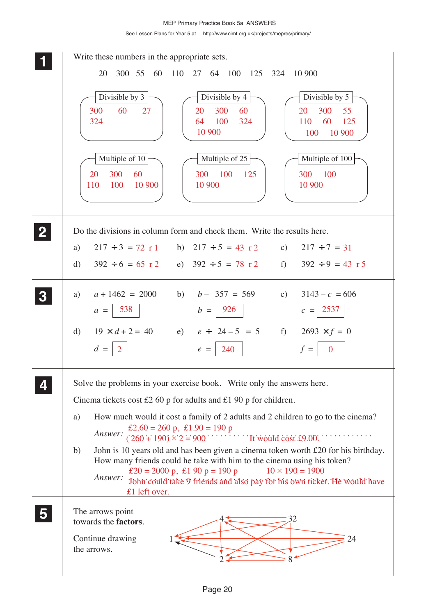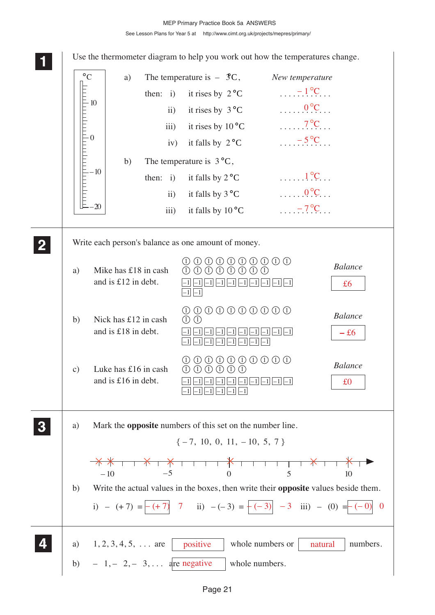**1 11 11** 0 – 10 10  $\overline{\circ \mathsf{C}}$  $-20$ **2 22 22** a) Mike has £18 in cash and is £12 in debt. b) Nick has £12 in cash and is £18 in debt. c) Luke has £16 in cash and is £16 in debt. 1 1 1 1 1 1 1 1 1 1 1 1 1 1) (1) (1) (1) (1) (1) (1) (1  $\left[-1\right]\left[-1\right]\left[-1\right]\left[-1\right]\left[-1\right]\left[-1\right]\left[-1\right]\left[-1\right]\left[-1\right]$  $-1$   $-1$  $\boxed{-1}$   $\boxed{-1}$   $\boxed{-1}$   $\boxed{-1}$   $\boxed{-1}$   $\boxed{-1}$   $\boxed{-1}$   $\boxed{-1}$   $\boxed{-1}$  $\frac{-1}{-1}\left| -1 \right| \left| -1 \right| \left| -1 \right| \left| -1 \right| \left| -1 \right| \left| -1 \right|$  $1000000000000$  $(1)$  $(1)$  $\boxed{-1} \, \boxed{-1} \, \boxed{-1} \, \boxed{-1} \, \boxed{-1} \, \boxed{-1} \, \boxed{-1} \, \boxed{-1} \, \boxed{-1}$  $-1$  $|-1$  $|-1$  $|-1$  $|-1$  $|-1$  $0 0 0 0 0 0 0 0 0 0 0 0$  $(1)$   $(1)$   $(1)$   $(1)$   $(1)$   $(1)$ *Balance Balance Balance* **3 33 33**  $\{-7, 10, 0, 11, -10, 5, 7\}$ – 10 – 5 0 5 10 **4 44 44**  $\ldots -1$  °C  $0^{\circ}C$  $7^{\circ}C$  $-5^{\circ}C$  $1^\circ$ C.  $\ldots 0$ <sup>o</sup>C  $-7^{\circ}C$ £6  $-*£6*$ £0 positive whole numbers or  $\vert$  natural b) – 1, – 2, – 3, ... are negative whole numbers. Use the thermometer diagram to help you work out how the temperatures change. a) The temperature is  $-3C$ , New temperature then: i) it rises by  $2^{\circ}C$ ii) it rises by  $3^{\circ}C$ iii) it rises by  $10^{\circ}$ C iv) it falls by  $2^{\circ}C$ b) The temperature is  $3^{\circ}C$ , then: i) it falls by  $2^{\circ}C$ ii) it falls by  $3^{\circ}$ C iii) it falls by  $10^{\circ}$ C Write each person's balance as one amount of money. a) Mark the **opposite** numbers of this set on the number line. b) Write the actual values in the boxes, then write their **opposite** values beside them. i) – (+ 7) =  $\vert -(+7)$  7 ii) – (-3) =  $\vert -(-3) \vert -3$  iii) – (0) =  $\vert -(0) \vert 0$ a)  $1, 2, 3, 4, 5, \ldots$  are positive whole numbers or natural numbers.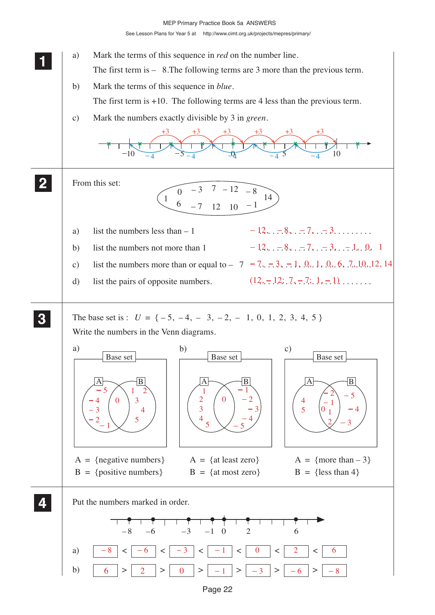See Lesson Plans for Year 5 at http://www.cimt.org.uk/projects/mepres/primary/



Page 22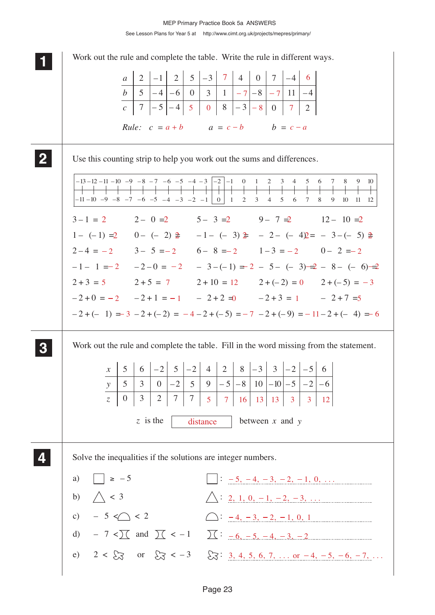**1 11** Work out the rule and complete the table. Write the rule in different ways. Use this counting strip to help you work out the sums and differences.  $3-1 = 2$   $2-0=2$   $5-3=2$   $9-7=2$   $12-10=2$  $1 - (-1) = 2$   $0 - (-2) = -1 - (-3) = -2 - (-4) = -3 - (-5) =$  $1 - (-1) = 2$   $0 - (-2) = -1 - (-3) = -2 - (-4) = -3 - (-5) = 2$ <br>  $2 - 4 = -2$   $3 - 5 = -2$   $6 - 8 = -2$   $1 - 3 = -2$   $0 - 2 = -2$  $-1 - 1 = 2$   $-2 - 0 = -2$   $-3 - (-1) = 2 - 5 - (-3) = -2 - 8 - (-6) = -2$  $2 + 3 = 5$   $2 + 5 = 7$   $2 + 10 = 12$   $2 + (-2) = 0$   $2 + (-5) =$  $-2+0 = -2$   $-2+1 = -1$   $-2+2 = 0$   $-2+3 = 1$   $-2+7 = 5$  $-2+(-1) = 3 - 2 + (-2) = -4 - 2 + (-5) = -7 - 2 + (-9) = -11 - 2 + (-4) = -6$ Work out the rule and complete the table. Fill in the word missing from the statement. Solve the inequalities if the solutions are integer numbers. *b c*  $5$   $\vert -4 \vert -6$  | 0 | 3 | 1 |  $-7$ | -8 0 11 8 3  $7|-5|-4$ *Rule:*  $c = a + b$   $a = c - b$   $b = c - a$  $a$  | 2 | -1 | 2 | 5 – 4 – 3 1 – 3  $4 \mid 0 \mid 7 \mid -4$ – 4 2 **2 22 22 3 33 33 4 44 44** *y z*  $5 \mid 3 \mid 0 \mid -2 \mid 5 \mid 9 \mid -5 \mid -8 \mid 10$  $0$  | 3 | 2  $x \mid 5 \mid 6 \mid -2 \mid 5$ 3  $^{-2}$ 9  $|-5$  $2 | 8 | - 3 | 3$ – 5 7 7 4 – 10  $^{-2}$  $^{-2}$ – 5 – 6 6 *z* is the distance between *x* and *y* a)  $\Box$   $\geq$  -5 b)  $\bigwedge$  < 3 c)  $-5 < 2$   $\bigcirc$   $-4, -3, -2, -1, 0, 1$ d)  $-7 < \frac{1}{2}$  and  $\frac{1}{2} < -1$   $\frac{1}{2} < -6, -5, -4, -3, -2$ e)  $2 < \frac{1}{2}$  or  $\frac{1}{2} < -3$   $\frac{1}{2}$ : 3, 4, 5, 6, 7, ... or  $-4$ ,  $-5$ ,  $-6$ ,  $-7$ , ...  $-8$   $-7$   $-6$   $-5$   $-4$   $-3$   $-2$   $-1$  | 0 | 1 2 3 4 5 6 7 8  $-10$   $-9$   $-8$   $-7$   $-6$   $-5$   $-4$   $-3$   $|-2$   $|-1$  0 1 2 3 4 5 – 9  $-11$   $-10$   $-9$   $-8$   $-7$   $-6$   $-5$   $-4$   $-3$   $|-2$   $|-1$  0 1 2 3 4 5 6 9 10 12 11 7 8 9 10  $-11-10$  $-13 - 12$  $7 | 4 | 0 | 7 | -4 | 6$  $7 - 8 - 7$  $5 \mid 0 \mid 8 \mid -3 \mid -8 \mid 0 \mid 7$ 2  $-2-0 = -2$   $-3-(-1) = 2 - 5 - (-3) = 2 - 8 - (-6) = 2$ 5  $2+5=7$   $2+10=12$   $2+(-2)=0$   $2+(-5)=-3$ 5 7 16 13 13 3 3 12 distance  $\Box$ :  $-5, -4, -3, -2, -1, 0, \ldots$  $\triangle:$  2, 1, 0, -1, -2, -3, ...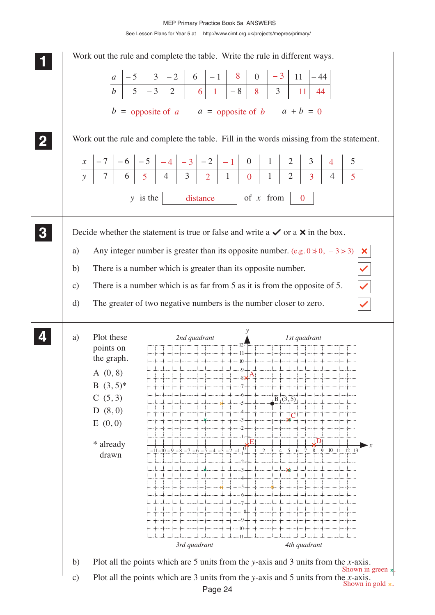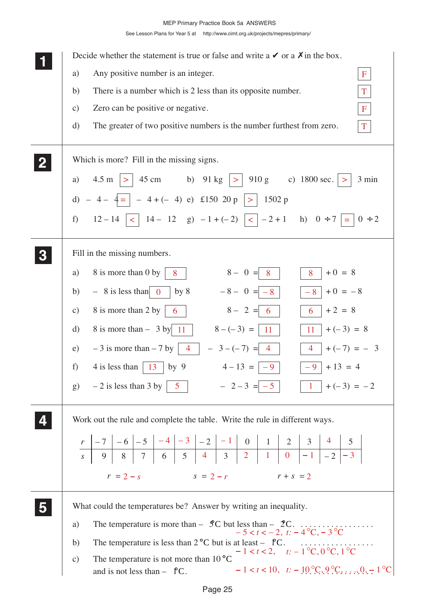| Decide whether the statement is true or false and write a $\vee$ or a $\chi$ in the box.                                                                                            |
|-------------------------------------------------------------------------------------------------------------------------------------------------------------------------------------|
| Any positive number is an integer.<br>a)<br>$\mathbf F$                                                                                                                             |
| There is a number which is 2 less than its opposite number.<br>b)<br>T                                                                                                              |
| Zero can be positive or negative.<br>$\mathbf{F}$<br>$\mathbf{c})$                                                                                                                  |
| The greater of two positive numbers is the number furthest from zero.<br>$\mathbf T$<br>d)                                                                                          |
| Which is more? Fill in the missing signs.                                                                                                                                           |
| $4.5 \text{ m }   >   45 \text{ cm }$ b) $91 \text{ kg }   >   910 \text{ g }$ c) $1800 \text{ sec.}   >$<br>3 min<br>a)                                                            |
| d) $-4 - 4 =  -4 + (-4) e $ £150 20 p  > 1502 p                                                                                                                                     |
| $12-14$   <   14 - 12 g) $-1+(-2)$   <   $-2+1$ h) $0 \div 7$ = $0 \div 2$<br>$f$ )                                                                                                 |
| Fill in the missing numbers.                                                                                                                                                        |
| $8 - 0 = 8$<br>$+0 = 8$<br>8 is more than 0 by<br>8<br>8<br>a)                                                                                                                      |
| $-8 - 0 = -8$<br>$-8$ + 0 = $-8$<br>$-8$ is less than 0 by 8<br>b)                                                                                                                  |
| $+2 = 8$<br>8 is more than 2 by<br>$8 - 2 = 6$<br>$\mathbf{c})$<br>$6\phantom{.}6$                                                                                                  |
| 8 is more than $-$ 3 by 11   $8 - (-3) =   11  $<br>$+(-3) = 8$<br>$\rm d)$<br>11                                                                                                   |
| $-3$ is more than $-7$ by $\begin{vmatrix} 4 \end{vmatrix} - 3 - (-7) = 4$<br>$4   +(-7) = - 3$<br>e)                                                                               |
| 4 is less than $\vert$ 13 $\vert$ by 9<br>$4-13 =  -9$<br>$-9$   + 13 = 4<br>f)                                                                                                     |
| $-2-3 = -5$ $\boxed{1} + (-3) = -2$<br>g) $-2$ is less than 3 by $\begin{vmatrix} 5 \end{vmatrix}$                                                                                  |
| Work out the rule and complete the table. Write the rule in different ways.                                                                                                         |
|                                                                                                                                                                                     |
|                                                                                                                                                                                     |
| $r = 2 - s$<br>$s = 2 - r$<br>$r + s = 2$                                                                                                                                           |
| What could the temperatures be? Answer by writing an inequality.                                                                                                                    |
| a)                                                                                                                                                                                  |
| b)                                                                                                                                                                                  |
| The temperature is not more than $10^{\circ}$ C<br>$\mathbf{c})$<br>$-1 < t < 10, \quad t: -10\degree C, 9\degree C, \ldots, 0, -1\degree C$<br>and is not less than $ \uparrow$ C. |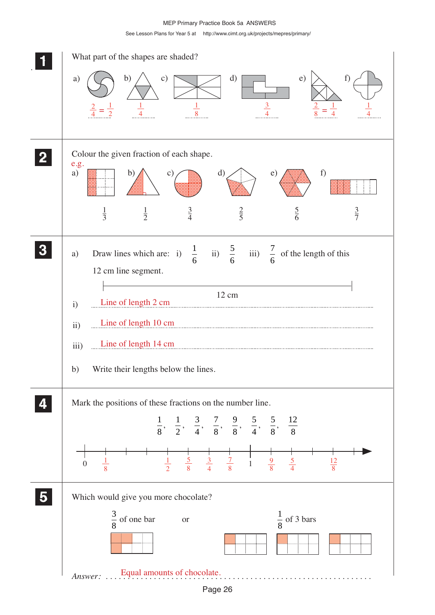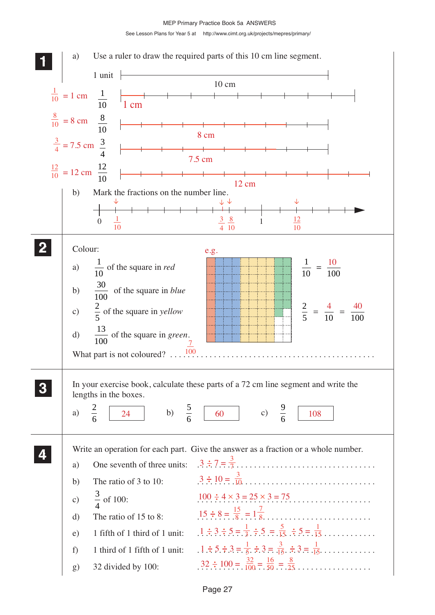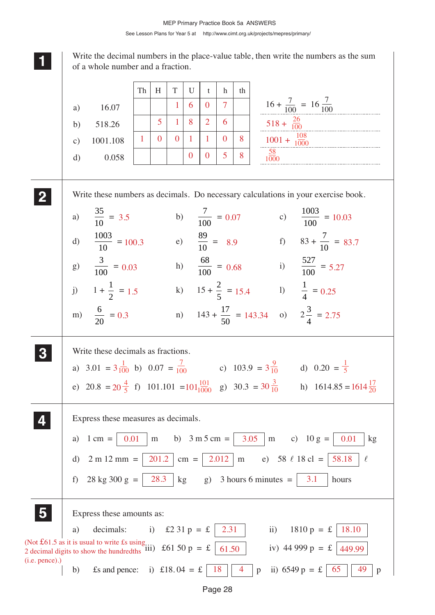Write the decimal numbers in the place-value table, then write the numbers as the sum of a whole number and a fraction.

**1 11**

**2 22 22**

**3 33 33**

 $(i$ 

|               |                            | Th | H              | T            | U            | $\mathbf{t}$   | h              | th |                           |                           |                                                                                   |
|---------------|----------------------------|----|----------------|--------------|--------------|----------------|----------------|----|---------------------------|---------------------------|-----------------------------------------------------------------------------------|
| a)            | 16.07                      |    |                | $\mathbf{1}$ | 6            | $\Omega$       | $\overline{7}$ |    |                           |                           | $16 + \frac{7}{100} = 16 \frac{7}{100}$                                           |
| b)            | 518.26                     |    | 5 <sup>5</sup> | $\mathbf{1}$ | 8            | $\overline{2}$ | 6              |    |                           | $518 + \frac{26}{100}$    |                                                                                   |
| $\mathbf{c})$ | 1001.108                   | 1  | $\Omega$       | $\Omega$     | $\mathbf{1}$ | $\mathbf{1}$   | $\mathbf{0}$   | 8  |                           | $1001 + \frac{108}{1000}$ |                                                                                   |
| $\mathbf{d}$  | 0.058                      |    |                |              | $\theta$     | $\overline{0}$ | 5              | 8  | 58<br>1000                |                           |                                                                                   |
|               |                            |    |                |              |              |                |                |    |                           |                           | Write these numbers as decimals. Do necessary calculations in your exercise book. |
|               |                            |    |                |              |              |                |                |    |                           |                           |                                                                                   |
|               |                            |    |                |              |              |                |                |    |                           |                           |                                                                                   |
|               | a) $\frac{35}{10} = 3.5$   |    |                |              |              |                |                |    | b) $\frac{7}{100} = 0.07$ |                           | c) $\frac{1003}{100} = 10.03$                                                     |
| d)            | $\frac{1003}{10} = 100.3$  |    |                |              |              |                |                |    |                           |                           | e) $\frac{89}{10} = 8.9$ f) $83 + \frac{7}{10} = 83.7$                            |
|               | g) $\frac{3}{100} = 0.03$  |    |                |              |              |                |                |    |                           |                           | h) $\frac{68}{100} = 0.68$ i) $\frac{527}{100} = 5.27$                            |
|               | j) $1 + \frac{1}{2} = 1.5$ |    |                |              |              |                |                |    |                           |                           | k) $15 + \frac{2}{5} = 15.4$ 1) $\frac{1}{4} = 0.25$                              |

| a) 3.01 = $3\frac{1}{100}$ b) 0.07 = $\frac{7}{100}$                                                                         | c) $103.9 = 3\frac{9}{10}$ d) $0.20 = \frac{1}{5}$ |  |
|------------------------------------------------------------------------------------------------------------------------------|----------------------------------------------------|--|
| e) $20.8 = 20 \frac{4}{5}$ f) $101.101 = 101 \frac{101}{1000}$ g) $30.3 = 30 \frac{3}{10}$ h) $1614.85 = 1614 \frac{17}{20}$ |                                                    |  |

|               | Express these measures as decimals.<br>b) $3 \text{ m } 5 \text{ cm } =$<br>3.05<br>0.01<br>m c) $10 g =$<br>kg<br>0.01<br>$1 \text{ cm} =$<br>${\rm m}$<br>a)<br>2.012<br>201.2<br>e) 58 $\ell$ 18 cl =<br>$2 m 12 mm =$<br>58.18<br>$\ell$<br>$\rm d$<br>$cm =$<br>m<br>28 kg 300 g = $\vert$<br>28.3<br>g) 3 hours 6 minutes $=$<br>kg<br><b>3.1</b><br>f)<br>hours |
|---------------|------------------------------------------------------------------------------------------------------------------------------------------------------------------------------------------------------------------------------------------------------------------------------------------------------------------------------------------------------------------------|
| 5             | Express these amounts as:<br>decimals: i) £2 31 p = £<br>$\mathbf{ii}$<br>$1810 p = £$<br>18.10<br>2.31<br>a)<br>(Not £61.5 as it is usual to write £s using) £61.50 p = £<br>iv) 44 999 $p = f$<br>61.50<br>449.99                                                                                                                                                    |
| (i.e. pence). | i) £18.04 = £<br>18<br>65<br>ii) $6549 p = \pounds$<br>£s and pence:<br>b)<br>49<br>4<br>$\mathbf{p}$<br>p                                                                                                                                                                                                                                                             |

Page 28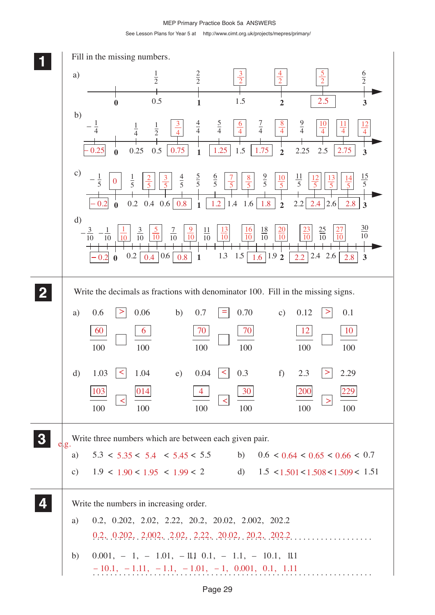MEP Primary Practice Book 5a ANSWERS